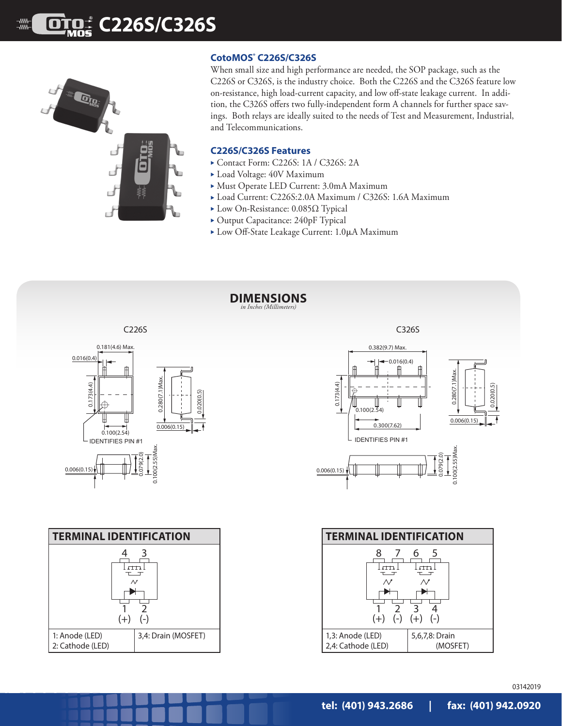# **C226S/C326S**



### **CotoMOS® C226S/C326S**

When small size and high performance are needed, the SOP package, such as the C226S or C326S, is the industry choice. Both the C226S and the C326S feature low on-resistance, high load-current capacity, and low off-state leakage current. In addition, the C326S offers two fully-independent form A channels for further space savings. Both relays are ideally suited to the needs of Test and Measurement, Industrial, and Telecommunications.

#### **C226S/C326S Features**

- ► Contact Form: C226S: 1A / C326S: 2A
- ▶ Load Voltage: 40V Maximum
- Must Operate LED Current: 3.0mA Maximum
- ▶ Load Current: C226S:2.0A Maximum / C326S: 1.6A Maximum
- ► Low On-Resistance: 0.085Ω Typical
- ▶ Output Capacitance: 240pF Typical
- **Low Off-State Leakage Current: 1.0μA Maximum**



1 2  $(+)$   $(-)$ 1: Anode (LED) 2: Cathode (LED) 3,4: Drain (MOSFET)

1 2 3 4 (+) (-) (+) (-) 1,3: Anode (LED) 2,4: Cathode (LED) 5,6,7,8: Drain (MOSFET)

03142019

0.020(0.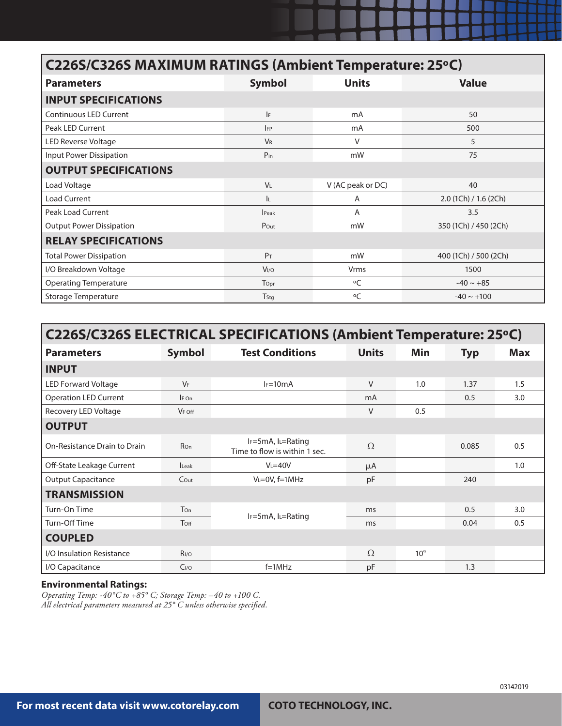## **C226S/C326S MAXIMUM RATINGS (Ambient Temperature: 25ºC)**

| <b>Parameters</b>               | <b>Symbol</b>        | <b>Units</b>      | <b>Value</b>          |  |  |  |  |  |  |
|---------------------------------|----------------------|-------------------|-----------------------|--|--|--|--|--|--|
| <b>INPUT SPECIFICATIONS</b>     |                      |                   |                       |  |  |  |  |  |  |
| <b>Continuous LED Current</b>   | F                    | mA                | 50                    |  |  |  |  |  |  |
| Peak LED Current                | <b>IFP</b>           | mA                | 500                   |  |  |  |  |  |  |
| LED Reverse Voltage             | <b>V<sub>R</sub></b> | V                 | 5                     |  |  |  |  |  |  |
| Input Power Dissipation         | $P_{in}$             | mW                | 75                    |  |  |  |  |  |  |
| <b>OUTPUT SPECIFICATIONS</b>    |                      |                   |                       |  |  |  |  |  |  |
| Load Voltage                    | <b>VL</b>            | V (AC peak or DC) | 40                    |  |  |  |  |  |  |
| <b>Load Current</b>             | IL.                  | Α                 | 2.0 (1Ch) / 1.6 (2Ch) |  |  |  |  |  |  |
| <b>Peak Load Current</b>        | <b>Peak</b>          | A                 | 3.5                   |  |  |  |  |  |  |
| <b>Output Power Dissipation</b> | Pout                 | mW                | 350 (1Ch) / 450 (2Ch) |  |  |  |  |  |  |
| <b>RELAY SPECIFICATIONS</b>     |                      |                   |                       |  |  |  |  |  |  |
| <b>Total Power Dissipation</b>  | P <sub>T</sub>       | mW                | 400 (1Ch) / 500 (2Ch) |  |  |  |  |  |  |
| I/O Breakdown Voltage           | V <sub>I/O</sub>     | Vrms              | 1500                  |  |  |  |  |  |  |
| <b>Operating Temperature</b>    | Topr                 | $\circ$ C         | $-40 \sim +85$        |  |  |  |  |  |  |
| Storage Temperature             | Tstg                 | $\circ$ C         | $-40 \sim +100$       |  |  |  |  |  |  |

| C226S/C326S ELECTRICAL SPECIFICATIONS (Ambient Temperature: 25°C) |                  |                                                               |              |                 |            |            |  |  |  |
|-------------------------------------------------------------------|------------------|---------------------------------------------------------------|--------------|-----------------|------------|------------|--|--|--|
| <b>Parameters</b>                                                 | <b>Symbol</b>    | <b>Test Conditions</b>                                        | <b>Units</b> | Min             | <b>Typ</b> | <b>Max</b> |  |  |  |
| <b>INPUT</b>                                                      |                  |                                                               |              |                 |            |            |  |  |  |
| <b>LED Forward Voltage</b>                                        | $V_F$            | $I_F=10mA$                                                    | V            | 1.0             | 1.37       | 1.5        |  |  |  |
| <b>Operation LED Current</b>                                      | $IF$ On          |                                                               | mA           |                 | 0.5        | 3.0        |  |  |  |
| Recovery LED Voltage                                              | $V_F$ off        |                                                               | V            | 0.5             |            |            |  |  |  |
| <b>OUTPUT</b>                                                     |                  |                                                               |              |                 |            |            |  |  |  |
| On-Resistance Drain to Drain                                      | Ron              | $I_F = 5mA$ , $I_L = Rating$<br>Time to flow is within 1 sec. | $\Omega$     |                 | 0.085      | 0.5        |  |  |  |
| Off-State Leakage Current                                         | <b>Leak</b>      | $V = 40V$                                                     | μA           |                 |            | 1.0        |  |  |  |
| <b>Output Capacitance</b>                                         | $C$ Out          | $V_L = 0V$ , $f = 1MHz$                                       | pF           |                 | 240        |            |  |  |  |
| <b>TRANSMISSION</b>                                               |                  |                                                               |              |                 |            |            |  |  |  |
| Turn-On Time                                                      | Ton              |                                                               | ms           |                 | 0.5        | 3.0        |  |  |  |
| Turn-Off Time                                                     | Toff             | $I_F = 5mA$ , $I_L = Rating$                                  | ms           |                 | 0.04       | 0.5        |  |  |  |
| <b>COUPLED</b>                                                    |                  |                                                               |              |                 |            |            |  |  |  |
| I/O Insulation Resistance                                         | R <sub>I/O</sub> |                                                               | $\Omega$     | 10 <sup>9</sup> |            |            |  |  |  |
| I/O Capacitance                                                   | C <sub>I/O</sub> | $f=1MHz$                                                      | pF           |                 | 1.3        |            |  |  |  |

#### **Environmental Ratings:**

*Operating Temp: -40°C to +85° C; Storage Temp: –40 to +100 C. All electrical parameters measured at 25° C unless otherwise specified.*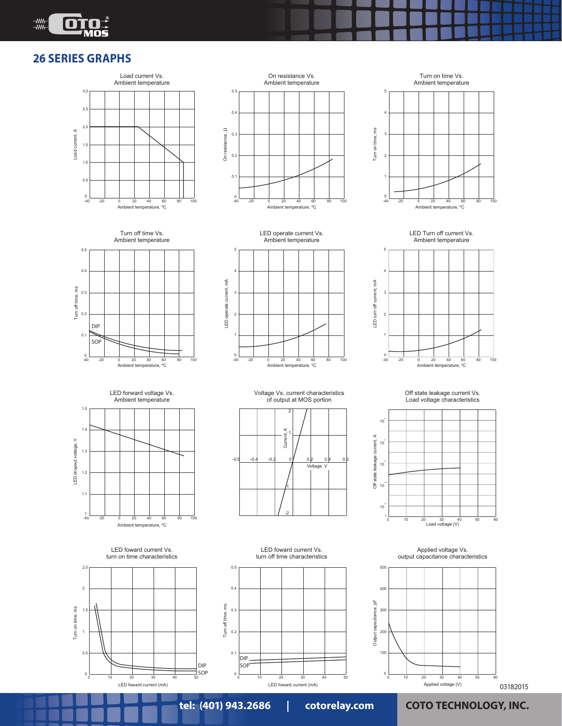

### **26 SERIES GRAPHS**















LED forward voltage Vs. Ambient temperature







Voltage Vs. current characteristics of output at MOS portion



LED foward current Vs. turn off time characteristics



Off state leakage current Vs. Load voltage characteristics



Applied voltage Vs. output capacitance characteristics